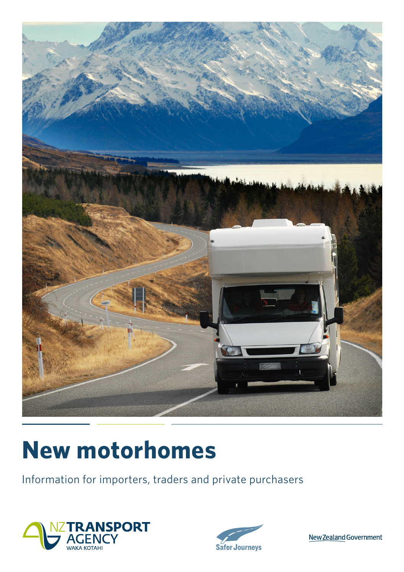

# **New motorhomes**

Information for importers, traders and private purchasers





New Zealand Government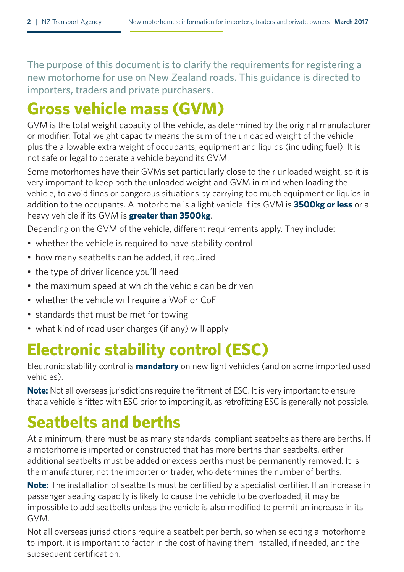The purpose of this document is to clarify the requirements for registering a new motorhome for use on New Zealand roads. This guidance is directed to importers, traders and private purchasers.

## **Gross vehicle mass (GVM)**

GVM is the total weight capacity of the vehicle, as determined by the original manufacturer or modifier. Total weight capacity means the sum of the unloaded weight of the vehicle plus the allowable extra weight of occupants, equipment and liquids (including fuel). It is not safe or legal to operate a vehicle beyond its GVM.

Some motorhomes have their GVMs set particularly close to their unloaded weight, so it is very important to keep both the unloaded weight and GVM in mind when loading the vehicle, to avoid fines or dangerous situations by carrying too much equipment or liquids in addition to the occupants. A motorhome is a light vehicle if its GVM is **3500kg or less** or a heavy vehicle if its GVM is **greater than 3500kg**.

Depending on the GVM of the vehicle, different requirements apply. They include:

- whether the vehicle is required to have stability control
- how many seatbelts can be added, if required
- the type of driver licence you'll need
- the maximum speed at which the vehicle can be driven
- whether the vehicle will require a WoF or CoF
- standards that must be met for towing
- what kind of road user charges (if any) will apply.

### **Electronic stability control (ESC)**

Electronic stability control is **mandatory** on new light vehicles (and on some imported used vehicles).

**Note:** Not all overseas jurisdictions require the fitment of ESC. It is very important to ensure that a vehicle is fitted with ESC prior to importing it, as retrofitting ESC is generally not possible.

## **Seatbelts and berths**

At a minimum, there must be as many standards-compliant seatbelts as there are berths. If a motorhome is imported or constructed that has more berths than seatbelts, either additional seatbelts must be added or excess berths must be permanently removed. It is the manufacturer, not the importer or trader, who determines the number of berths.

**Note:** The installation of seatbelts must be certified by a specialist certifier. If an increase in passenger seating capacity is likely to cause the vehicle to be overloaded, it may be impossible to add seatbelts unless the vehicle is also modified to permit an increase in its GVM.

Not all overseas jurisdictions require a seatbelt per berth, so when selecting a motorhome to import, it is important to factor in the cost of having them installed, if needed, and the subsequent certification.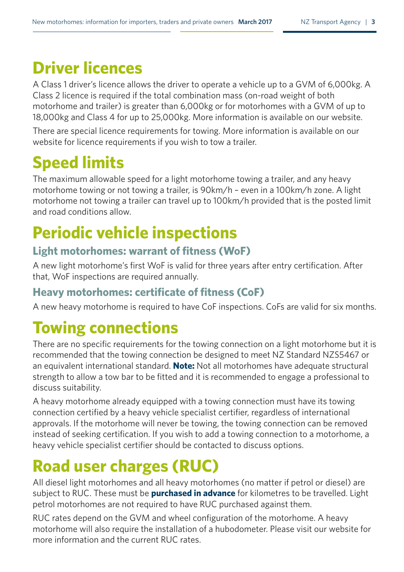### **Driver licences**

A Class 1 driver's licence allows the driver to operate a vehicle up to a GVM of 6,000kg. A Class 2 licence is required if the total combination mass (on-road weight of both motorhome and trailer) is greater than 6,000kg or for motorhomes with a GVM of up to 18,000kg and Class 4 for up to 25,000kg. More information is available on our website.

There are special licence requirements for towing. More information is available on our website for licence requirements if you wish to tow a trailer.

## **Speed limits**

The maximum allowable speed for a light motorhome towing a trailer, and any heavy motorhome towing or not towing a trailer, is 90km/h – even in a 100km/h zone. A light motorhome not towing a trailer can travel up to 100km/h provided that is the posted limit and road conditions allow.

# **Periodic vehicle inspections**

#### **Light motorhomes: warrant of fitness (WoF)**

A new light motorhome's first WoF is valid for three years after entry certification. After that, WoF inspections are required annually.

#### **Heavy motorhomes: certificate of fitness (CoF)**

A new heavy motorhome is required to have CoF inspections. CoFs are valid for six months.

## **Towing connections**

There are no specific requirements for the towing connection on a light motorhome but it is recommended that the towing connection be designed to meet NZ Standard NZS5467 or an equivalent international standard. **Note:** Not all motorhomes have adequate structural strength to allow a tow bar to be fitted and it is recommended to engage a professional to discuss suitability.

A heavy motorhome already equipped with a towing connection must have its towing connection certified by a heavy vehicle specialist certifier, regardless of international approvals. If the motorhome will never be towing, the towing connection can be removed instead of seeking certification. If you wish to add a towing connection to a motorhome, a heavy vehicle specialist certifier should be contacted to discuss options.

# **Road user charges (RUC)**

All diesel light motorhomes and all heavy motorhomes (no matter if petrol or diesel) are subject to RUC. These must be **purchased in advance** for kilometres to be travelled. Light petrol motorhomes are not required to have RUC purchased against them.

RUC rates depend on the GVM and wheel configuration of the motorhome. A heavy motorhome will also require the installation of a hubodometer. Please visit our website for more information and the current RUC rates.